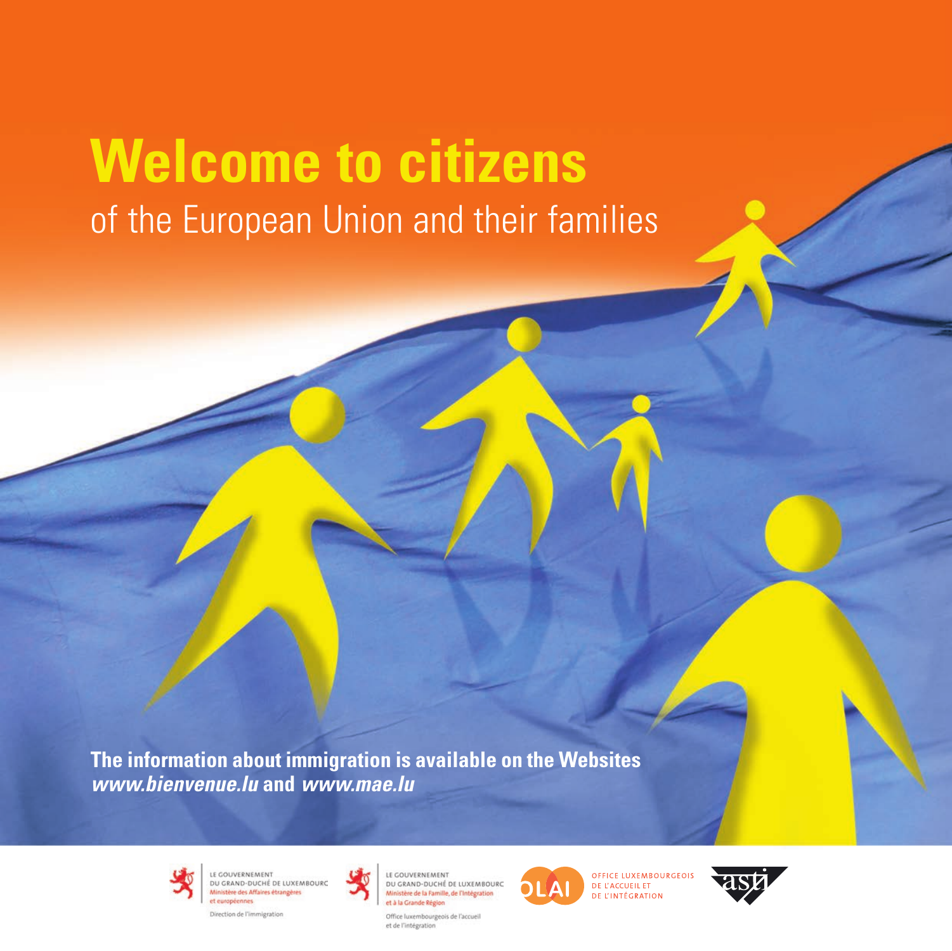# **Welcome to citizens**  of the European Union and their families

**The information about immigration is available on the Websites** *www.bienvenue.lu* **and** *www.mae.lu*



LE GOUVERNEMENT LE GOUVERNEMENT<br>DU GRAND-DUCHÉ DE LUXEMBOURC<br>Ministère des Affaires étrangères et européennes





LE GOUVERNEMENT DU GRAND-DUCHÉ DE LUXEMBOURC Ministère de la Famille, de l'Intégration et à la Grande Région

Office luxembourgeois de l'accueil et de l'intégration



**OFFICE LUXEMBOURGEOIS** DE L'ACCUEIL ET DE L'INTÉGRATION

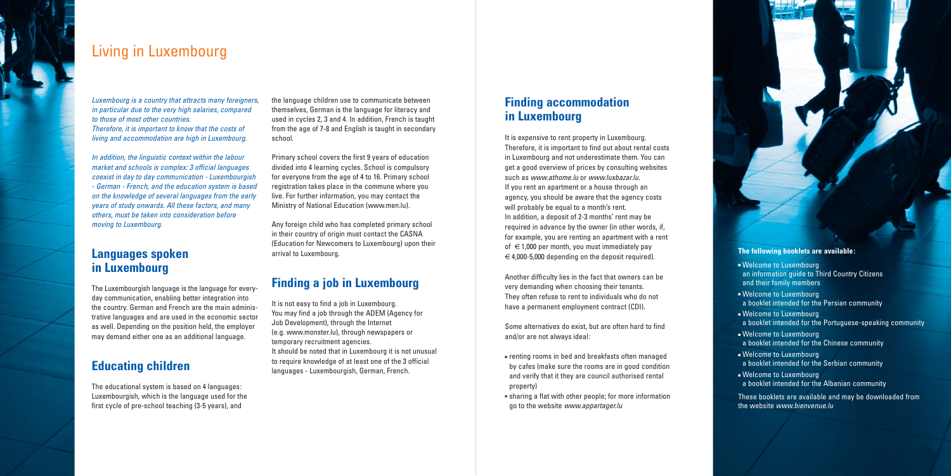### **Finding accommodation in Luxembourg**

It is expensive to rent property in Luxembourg. Therefore, it is important to find out about rental costs in Luxembourg and not underestimate them. You can get a good overview of prices by consulting websites such as www.athome.lu or www.luxbazar.lu. If you rent an apartment or a house through an agency, you should be aware that the agency costs will probably be equal to a month's rent. In addition, a deposit of 2-3 months' rent may be required in advance by the owner (in other words, if, for example, you are renting an apartment with a rent of  $\epsilon$ 1,000 per month, you must immediately pay  $\epsilon \in 4,000$ -5,000 depending on the deposit required).

Another difficulty lies in the fact that owners can be very demanding when choosing their tenants. They often refuse to rent to individuals who do not have a permanent employment contract (CDI).

Some alternatives do exist, but are often hard to find and/or are not always ideal:

- renting rooms in bed and breakfasts often managed by cafes (make sure the rooms are in good condition and verify that it they are council authorised rental property)
- sharing a flat with other people; for more information go to the website www.appartager.lu

It is not easy to find a job in Luxembourg. You may find a job through the ADEM (Agency for Job Development), through the Internet (e.g. www.monster.lu), through newspapers or temporary recruitment agencies. It should be noted that in Luxembourg it is not unusual to require knowledge of at least one of the 3 official languages - Luxembourgish, German, French.

the language children use to communicate between themselves, German is the language for literacy and used in cycles 2, 3 and 4. In addition, French is taught from the age of 7-8 and English is taught in secondary school.

Primary school covers the first 9 years of education divided into 4 learning cycles. School is compulsory for everyone from the age of 4 to 16. Primary school registration takes place in the commune where you live. For further information, you may contact the Ministry of National Education (www.men.lu).

Any foreign child who has completed primary school in their country of origin must contact the CASNA (Education for Newcomers to Luxembourg) upon their arrival to Luxembourg.

### **Finding a job in Luxembourg**

These booklets are available and may be downloaded from the website www.bienvenue.lu

### Living in Luxembourg

Luxembourg is a country that attracts many foreigners, in particular due to the very high salaries, compared to those of most other countries. Therefore, it is important to know that the costs of living and accommodation are high in Luxembourg.

In addition, the linguistic context within the labour market and schools is complex: 3 official languages coexist in day to day communication - Luxembourgish - German - French, and the education system is based on the knowledge of several languages from the early years of study onwards. All these factors, and many others, must be taken into consideration before moving to Luxembourg.

### **Languages spoken in Luxembourg**

The Luxembourgish language is the language for everyday communication, enabling better integration into the country. German and French are the main administrative languages and are used in the economic sector as well. Depending on the position held, the employer may demand either one as an additional language.

### **Educating children**

The educational system is based on 4 languages: Luxembourgish, which is the language used for the first cycle of pre-school teaching (3-5 years), and

### **The following booklets are available:**

- Welcome to Luxembourg an information guide to Third Country Citizens and their family members
- Welcome to Luxembourg a booklet intended for the Persian community
- Welcome to Luxembourg a booklet intended for the Portuguese-speaking community
- Welcome to Luxembourg a booklet intended for the Chinese community
- Welcome to Luxembourg a booklet intended for the Serbian community
- Welcome to Luxembourg a booklet intended for the Albanian community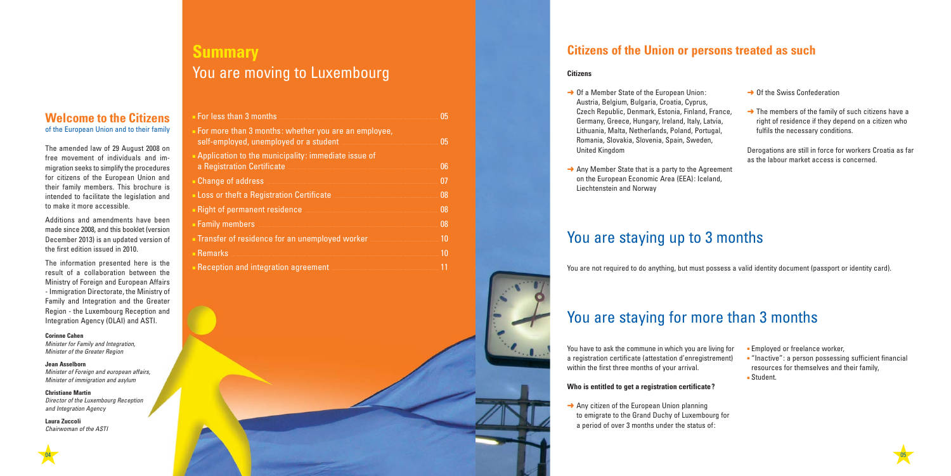### **Welcome to the Citizens**  of the European Union and to their family

The amended law of 29 August 2008 on free movement of individuals and immigration seeks to simplify the procedures for citizens of the European Union and their family members. This brochure is intended to facilitate the legislation and to make it more accessible.

Minister for Family and Integration, Minister of the Greater Region

Additions and amendments have been made since 2008, and this booklet (version December 2013) is an updated version of the first edition issued in 2010.

The information presented here is the result of a collaboration between the Ministry of Foreign and European Affairs - Immigration Directorate, the Ministry of Family and Integration and the Greater Region - the Luxembourg Reception and Integration Agency (OLAI) and ASTI.

#### **Corinne Cahen**

#### **Jean Asselborn**

Minister of Foreign and european affairs, Minister of immigration and asylum

#### **Christiane Martin**

Director of the Luxembourg Reception and Integration Agency

**Laura Zuccoli**  Chairwoman of the ASTI

# 04 and the contract of the contract of the contract of the contract of the contract of the contract of the contract of the contract of the contract of the contract of the contract of the contract of the contract of the con

- **→ Of a Member State of the European Union:** Austria, Belgium, Bulgaria, Croatia, Cyprus, Czech Republic, Denmark, Estonia, Finland, Fran Germany, Greece, Hungary, Ireland, Italy, Latvia, Lithuania, Malta, Netherlands, Poland, Portugal, Romania, Slovakia, Slovenia, Spain, Sweden, United Kingdom
- $\rightarrow$  Any Member State that is a party to the Agreen on the European Economic Area (EEA): Iceland, Liechtenstein and Norway

| 05                                                                                                                       |
|--------------------------------------------------------------------------------------------------------------------------|
| 05                                                                                                                       |
| 06                                                                                                                       |
| 07                                                                                                                       |
| 08                                                                                                                       |
| Right of permanent residence <b>Manual Community</b> and the Right of permanent residence<br>08                          |
| 08                                                                                                                       |
| Transfer of residence for an unemployed worker <b>manufation</b> and the set of residence for an unemployed worker<br>10 |
| 10                                                                                                                       |
|                                                                                                                          |
|                                                                                                                          |

- 
- **Employed or freelance worker,**
- "Inactive": a person possessing sufficient financial resources for themselves and their family, ■ Student.
- 



 $\rightarrow$  Any citizen of the European Union planning to emigrate to the Grand Duchy of Luxembourg for a period of over 3 months under the status of:

### **Summary** You are moving to Luxembourg

#### **Citizens**

|                  | $\rightarrow$ Of the Swiss Confederation                                                                                                                   |
|------------------|------------------------------------------------------------------------------------------------------------------------------------------------------------|
| nce,<br>Э,<br>l, | $\rightarrow$ The members of the family of such citizens have a<br>right of residence if they depend on a citizen who<br>fulfils the necessary conditions. |
| nent             | Derogations are still in force for workers Croatia as far<br>as the labour market access is concerned.                                                     |
|                  |                                                                                                                                                            |

### **Citizens of the Union or persons treated as such**

### You are staying up to 3 months

You are not required to do anything, but must possess a valid identity document (passport or identity card).

## You are staying for more than 3 months

You have to ask the commune in which you are living for a registration certificate (attestation d'enregistrement) within the first three months of your arrival.

#### **Who is entitled to get a registration certificate?**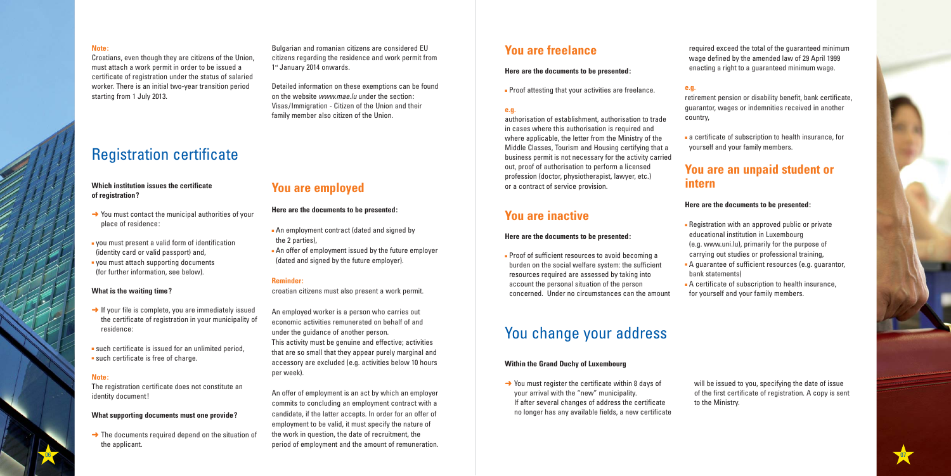### **You are employed**

### **Here are the documents to be presented:**

- An employment contract (dated and signed by the 2 parties),
- An offer of employment issued by the future employer (dated and signed by the future employer).

#### **Reminder:**

croatian citizens must also present a work permit.

An employed worker is a person who carries out economic activities remunerated on behalf of and under the guidance of another person. This activity must be genuine and effective; activities that are so small that they appear purely marginal and accessory are excluded (e.g. activities below 10 hours per week).

- $\rightarrow$  You must contact the municipal authorities of your place of residence:
- you must present a valid form of identification (identity card or valid passport) and,
- you must attach supporting documents (for further information, see below).

- $\rightarrow$  If your file is complete, you are immediately issued the certificate of registration in your municipality of residence:
- such certificate is issued for an unlimited period, ■ such certificate is free of charge.

An offer of employment is an act by which an employer commits to concluding an employment contract with a candidate, if the latter accepts. In order for an offer of employment to be valid, it must specify the nature of the work in question, the date of recruitment, the period of employment and the amount of remuneration.

 $\rightarrow$  The documents required depend on the situation of the applicant.

### **Which institution issues the certificate of registration?**

### **What is the waiting time?**

Bulgarian and romanian citizens are considered EU citizens regarding the residence and work permit from 1st January 2014 onwards.

#### **Note:**

The registration certificate does not constitute an identity document!

### **What supporting documents must one provide?**

### **You are freelance**

### **Here are the documents to be presented:**

■ Proof attesting that your activities are freelance.

### **e.g.**

authorisation of establishment, authorisation to trade in cases where this authorisation is required and where applicable, the letter from the Ministry of the Middle Classes, Tourism and Housing certifying that a business permit is not necessary for the activity carried out, proof of authorisation to perform a licensed profession (doctor, physiotherapist, lawyer, etc.) or a contract of service provision.

- $\rightarrow$  You must register the certificate within 8 days of your arrival with the "new" municipality. If after several changes of address the certificate no longer has any available fields, a new certificate
- 

### **You are inactive**

### **Here are the documents to be presented:**



Detailed information on these exemptions can be found on the website www.mae.lu under the section: Visas/Immigration - Citizen of the Union and their family member also citizen of the Union.

#### **Note:**

Croatians, even though they are citizens of the Union, must attach a work permit in order to be issued a certificate of registration under the status of salaried worker. There is an initial two-year transition period starting from 1 July 2013.

- Proof of sufficient resources to avoid becoming a burden on the social welfare system: the sufficient resources required are assessed by taking into account the personal situation of the person concerned. Under no circumstances can the amount
- - bank statements)
	- A certificate of subscription to health insurance, for yourself and your family members.

required exceed the total of the guaranteed minimum wage defined by the amended law of 29 April 1999 enacting a right to a guaranteed minimum wage.

### **e.g.**

retirement pension or disability benefit, bank certificate, guarantor, wages or indemnities received in another country,

■ a certificate of subscription to health insurance, for yourself and your family members.

### **You are an unpaid student or**

# **intern**

### **Here are the documents to be presented:**

- Registration with an approved public or private educational institution in Luxembourg
- (e.g. www.uni.lu), primarily for the purpose of
- - carrying out studies or professional training, ■ A guarantee of sufficient resources (e.g. guarantor,
		-

will be issued to you, specifying the date of issue of the first certificate of registration. A copy is sent to the Ministry.

### You change your address

### **Within the Grand Duchy of Luxembourg**

## Registration certificate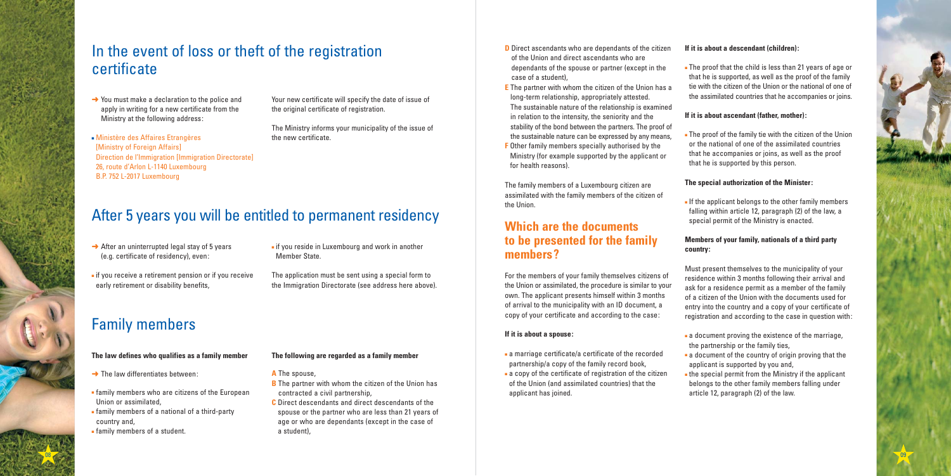

Your new certificate will specify the date of issue of the original certificate of registration.

The Ministry informs your municipality of the issue of the new certificate.

### In the event of loss or theft of the registration certificate

- $\rightarrow$  You must make a declaration to the police and apply in writing for a new certificate from the Ministry at the following address:
- Ministère des Affaires Etrangères [Ministry of Foreign Affairs] Direction de l'Immigration [Immigration Directorate] 26, route d'Arlon L-1140 Luxembourg B.P. 752 L-2017 Luxembourg

- $\rightarrow$  After an uninterrupted legal stay of 5 years (e.g. certificate of residency), even:
- if you receive a retirement pension or if you receive early retirement or disability benefits,
- if you reside in Luxembourg and work in another Member State.

- **B** The partner with whom the citizen of the Union has contracted a civil partnership,
- **C** Direct descendants and direct descendants of the spouse or the partner who are less than 21 years of age or who are dependants (except in the case of a student),

The application must be sent using a special form to the Immigration Directorate (see address here above).

### After 5 years you will be entitled to permanent residency

- $\rightarrow$  The law differentiates between:
- family members who are citizens of the European Union or assimilated,
- family members of a national of a third-party country and,
- family members of a student.

### **The following are regarded as a family member**

### **A** The spouse,

### **The law defines who qualifies as a family member**

### Family members

### **If it is about a descendant (children):**

■ The proof that the child is less than 21 years of age or that he is supported, as well as the proof of the family tie with the citizen of the Union or the national of one of the assimilated countries that he accompanies or joins.

- **D** Direct ascendants who are dependants of the citizen of the Union and direct ascendants who are dependants of the spouse or partner (except in the case of a student),
- **E** The partner with whom the citizen of the Union has a long-term relationship, appropriately attested. The sustainable nature of the relationship is examined in relation to the intensity, the seniority and the stability of the bond between the partners. The proof of the sustainable nature can be expressed by any means,
- **F** Other family members specially authorised by the Ministry (for example supported by the applicant or for health reasons).

### **If it is about ascendant (father, mother):**

■ The proof of the family tie with the citizen of the Union or the national of one of the assimilated countries that he accompanies or joins, as well as the proof that he is supported by this person.

### **The special authorization of the Minister:**

■ If the applicant belongs to the other family members falling within article 12, paragraph (2) of the law, a special permit of the Ministry is enacted.

### **Members of your family, nationals of a third party**

## **country:**

Must present themselves to the municipality of your residence within 3 months following their arrival and ask for a residence permit as a member of the family of a citizen of the Union with the documents used for entry into the country and a copy of your certificate of registration and according to the case in question with:

- 
- 
- 

■ a document proving the existence of the marriage, the partnership or the family ties,

■ a document of the country of origin proving that the applicant is supported by you and,

■ the special permit from the Ministry if the applicant belongs to the other family members falling under article 12, paragraph (2) of the law.

The family members of a Luxembourg citizen are assimilated with the family members of the citizen of the Union.

### **Which are the documents to be presented for the family members?**

For the members of your family themselves citizens of the Union or assimilated, the procedure is similar to your own. The applicant presents himself within 3 months of arrival to the municipality with an ID document, a copy of your certificate and according to the case:

### **If it is about a spouse:**

- a marriage certificate/a certificate of the recorded partnership/a copy of the family record book,
- a copy of the certificate of registration of the citizen of the Union (and assimilated countries) that the applicant has joined.
- 
-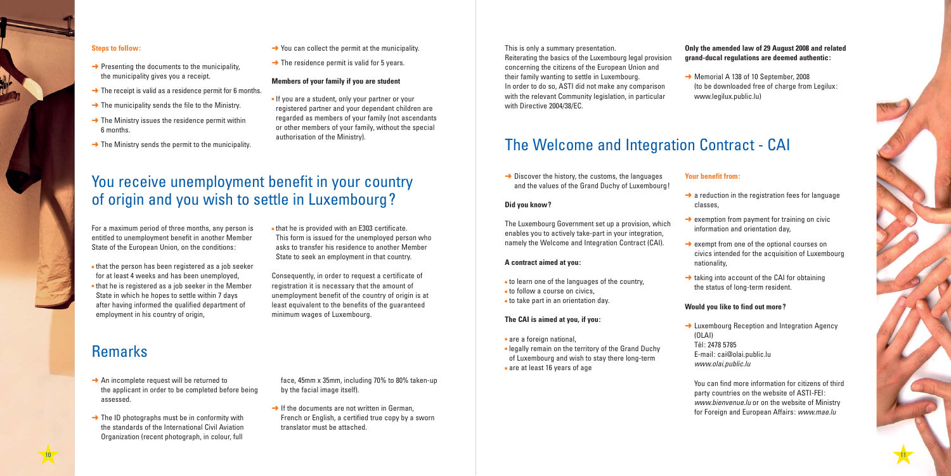

#### **Members of your family if you are student**

■ If you are a student, only your partner or your registered partner and your dependant children are regarded as members of your family (not ascendants or other members of your family, without the special authorisation of the Ministry).

#### **Steps to follow:**

- $\rightarrow$  Presenting the documents to the municipality, the municipality gives you a receipt.
- $\rightarrow$  The receipt is valid as a residence permit for 6 months.
- $\rightarrow$  The municipality sends the file to the Ministry.
- $\rightarrow$  The Ministry issues the residence permit within 6 months.
- $\rightarrow$  The Ministry sends the permit to the municipality.
- $\rightarrow$  You can collect the permit at the municipality.
- $\rightarrow$  The residence permit is valid for 5 years.

### **Only the amended law of 29 August 2008 and related grand-ducal regulations are deemed authentic:**

➜ Memorial A 138 of 10 September, 2008 (to be downloaded free of charge from Legilux: www.legilux.public.lu)

 $\rightarrow$  a reduction in the registration fees for language

This is only a summary presentation. Reiterating the basics of the Luxembourg legal provision concerning the citizens of the European Union and their family wanting to settle in Luxembourg. In order to do so, ASTI did not make any comparison with the relevant Community legislation, in particular with Directive 2004/38/EC.

 $\rightarrow$  If the documents are not written in German, French or English, a certified true copy by a sworn translator must be attached.

- $\rightarrow$  An incomplete request will be returned to the applicant in order to be completed before being assessed.
- $\rightarrow$  The ID photographs must be in conformity with the standards of the International Civil Aviation Organization (recent photograph, in colour, full

 $\rightarrow$  exemption from payment for training on civic information and orientation day,

 $\rightarrow$  exempt from one of the optional courses on civics intended for the acquisition of Luxembourg

 $\rightarrow$  taking into account of the CAI for obtaining the status of long-term resident.

 $\rightarrow$  Luxembourg Reception and Integration Agency

Consequently, in order to request a certificate of registration it is necessary that the amount of unemployment benefit of the country of origin is at least equivalent to the benefits of the guaranteed minimum wages of Luxembourg.

- that the person has been registered as a job seeker for at least 4 weeks and has been unemployed,
- that he is registered as a job seeker in the Member State in which he hopes to settle within 7 days after having informed the qualified department of employment in his country of origin,
- that he is provided with an E303 certificate. This form is issued for the unemployed person who asks to transfer his residence to another Member State to seek an employment in that country.

### You receive unemployment benefit in your country of origin and you wish to settle in Luxembourg?

 $\rightarrow$  Discover the history, the customs, the languages and the values of the Grand Duchy of Luxembourg!

### Remarks

For a maximum period of three months, any person is entitled to unemployment benefit in another Member State of the European Union, on the conditions:

> face, 45mm x 35mm, including 70% to 80% taken-up by the facial image itself).

#### **Your benefit from:**

- classes,
- 
- nationality,
- 

### **Would you like to find out more?**

- (OLAI) Tél: 2478 5785
- 

E-mail: cai@olai.public.lu www.olai.public.lu

You can find more information for citizens of third party countries on the website of ASTI-FEI: www.bienvenue.lu or on the website of Ministry for Foreign and European Affairs: www.mae.lu

## The Welcome and Integration Contract - CAI

#### **Did you know?**

The Luxembourg Government set up a provision, which enables you to actively take-part in your integration, namely the Welcome and Integration Contract (CAI).

#### **A contract aimed at you:**

- to learn one of the languages of the country,
- to follow a course on civics,
- to take part in an orientation day.

#### **The CAI is aimed at you, if you:**

- are a foreign national,
- legally remain on the territory of the Grand Duchy of Luxembourg and wish to stay there long-term ■ are at least 16 years of age